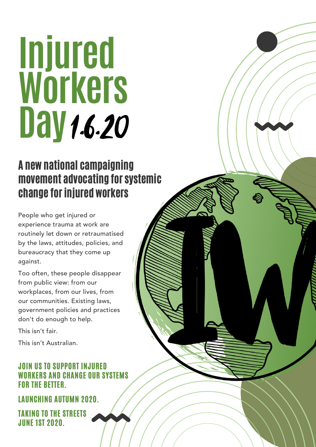# **Injured Workers Day**1.6.20

### A new national campaigning movement advocating for systemic change for injured workers

People who get injured or experience trauma at work are routinely let down or retraumatised by the laws, attitudes, policies, and bureaucracy that they come up against.

Too often, these people disappear from public view: from our workplaces, from our lives, from our communities. Existing laws, government policies and practices don't do enough to help.

This isn't fair.

This isn't Australian.

#### JOIN US TO SUPPORT INJURED **RKERS AND CHANGE OUR SYSTEMS** FOR THE BETTER.

LAUNCHING AUTUMN 2020.

TAKING TO THE STREETS JUNE 1ST 2020.